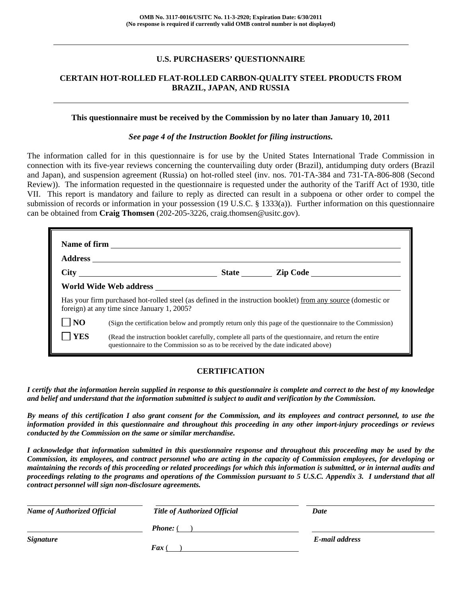### **U.S. PURCHASERS' QUESTIONNAIRE**

### **CERTAIN HOT-ROLLED FLAT-ROLLED CARBON-QUALITY STEEL PRODUCTS FROM BRAZIL, JAPAN, AND RUSSIA**

#### **This questionnaire must be received by the Commission by no later than January 10, 2011**

#### *See page 4 of the Instruction Booklet for filing instructions.*

The information called for in this questionnaire is for use by the United States International Trade Commission in connection with its five-year reviews concerning the countervailing duty order (Brazil), antidumping duty orders (Brazil and Japan), and suspension agreement (Russia) on hot-rolled steel (inv. nos. 701-TA-384 and 731-TA-806-808 (Second Review)). The information requested in the questionnaire is requested under the authority of the Tariff Act of 1930, title VII. This report is mandatory and failure to reply as directed can result in a subpoena or other order to compel the submission of records or information in your possession (19 U.S.C. § 1333(a)). Further information on this questionnaire can be obtained from **Craig Thomsen** (202-205-3226, craig.thomsen@usitc.gov).

|                |                                                                                                                                                                                              |  | State <u>Lip Code</u>                                                                                         |  |  |  |
|----------------|----------------------------------------------------------------------------------------------------------------------------------------------------------------------------------------------|--|---------------------------------------------------------------------------------------------------------------|--|--|--|
|                |                                                                                                                                                                                              |  |                                                                                                               |  |  |  |
|                | foreign) at any time since January 1, 2005?                                                                                                                                                  |  | Has your firm purchased hot-rolled steel (as defined in the instruction booklet) from any source (domestic or |  |  |  |
| $\overline{N}$ |                                                                                                                                                                                              |  | (Sign the certification below and promptly return only this page of the questionnaire to the Commission)      |  |  |  |
| YES            | (Read the instruction booklet carefully, complete all parts of the questionnaire, and return the entire<br>questionnaire to the Commission so as to be received by the date indicated above) |  |                                                                                                               |  |  |  |

### **CERTIFICATION**

*I certify that the information herein supplied in response to this questionnaire is complete and correct to the best of my knowledge and belief and understand that the information submitted is subject to audit and verification by the Commission.* 

*By means of this certification I also grant consent for the Commission, and its employees and contract personnel, to use the information provided in this questionnaire and throughout this proceeding in any other import-injury proceedings or reviews conducted by the Commission on the same or similar merchandise.* 

*I acknowledge that information submitted in this questionnaire response and throughout this proceeding may be used by the Commission, its employees, and contract personnel who are acting in the capacity of Commission employees, for developing or maintaining the records of this proceeding or related proceedings for which this information is submitted, or in internal audits and proceedings relating to the programs and operations of the Commission pursuant to 5 U.S.C. Appendix 3. I understand that all contract personnel will sign non-disclosure agreements.* 

| <b>Name of Authorized Official</b> | <b>Title of Authorized Official</b> | Date           |  |
|------------------------------------|-------------------------------------|----------------|--|
|                                    | <b>Phone:</b> (                     |                |  |
| <i>Signature</i>                   |                                     | E-mail address |  |
|                                    | $\int$ Fax (                        |                |  |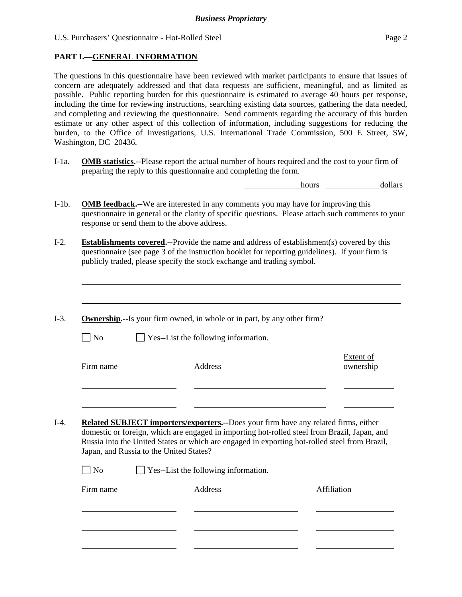## **PART I.—GENERAL INFORMATION**

 $\overline{a}$ 

l

l

The questions in this questionnaire have been reviewed with market participants to ensure that issues of concern are adequately addressed and that data requests are sufficient, meaningful, and as limited as possible. Public reporting burden for this questionnaire is estimated to average 40 hours per response, including the time for reviewing instructions, searching existing data sources, gathering the data needed, and completing and reviewing the questionnaire. Send comments regarding the accuracy of this burden estimate or any other aspect of this collection of information, including suggestions for reducing the burden, to the Office of Investigations, U.S. International Trade Commission, 500 E Street, SW, Washington, DC 20436.

I-1a. **OMB statistics.--**Please report the actual number of hours required and the cost to your firm of preparing the reply to this questionnaire and completing the form.

hours dollars

- I-1b. **OMB feedback.--**We are interested in any comments you may have for improving this questionnaire in general or the clarity of specific questions. Please attach such comments to your response or send them to the above address.
- I-2. **Establishments covered.--**Provide the name and address of establishment(s) covered by this questionnaire (see page 3 of the instruction booklet for reporting guidelines). If your firm is publicly traded, please specify the stock exchange and trading symbol.
- I-3. **Ownership.--**Is your firm owned, in whole or in part, by any other firm?  $\Box$  No  $\Box$  Yes--List the following information. Firm name Address Extent of ownership l l I-4. **Related SUBJECT importers/exporters.--**Does your firm have any related firms, either domestic or foreign, which are engaged in importing hot-rolled steel from Brazil, Japan, and Russia into the United States or which are engaged in exporting hot-rolled steel from Brazil, Japan, and Russia to the United States?  $\Box$  No  $\Box$  Yes--List the following information. Firm name Address Address Address Affiliation  $\overline{a}$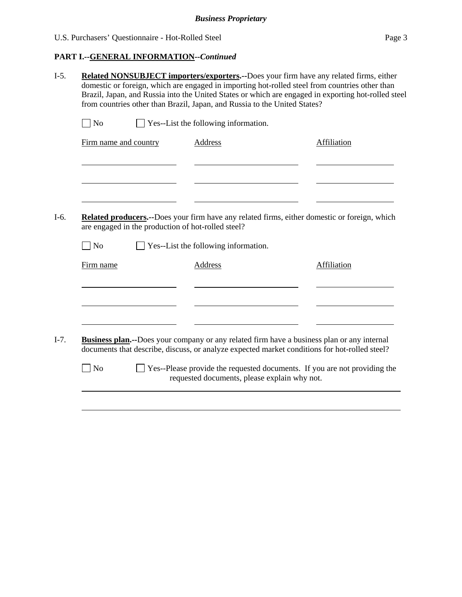# **PART I.--GENERAL INFORMATION***--Continued*

|                       | from countries other than Brazil, Japan, and Russia to the United States? | Related NONSUBJECT importers/exporters.--Does your firm have any related firms, either<br>domestic or foreign, which are engaged in importing hot-rolled steel from countries other than<br>Brazil, Japan, and Russia into the United States or which are engaged in exporting hot-rolled steel |
|-----------------------|---------------------------------------------------------------------------|-------------------------------------------------------------------------------------------------------------------------------------------------------------------------------------------------------------------------------------------------------------------------------------------------|
| $\blacksquare$ No     | Yes--List the following information.                                      |                                                                                                                                                                                                                                                                                                 |
| Firm name and country | <b>Address</b>                                                            | Affiliation                                                                                                                                                                                                                                                                                     |
|                       |                                                                           |                                                                                                                                                                                                                                                                                                 |
|                       | are engaged in the production of hot-rolled steel?                        | <b>Related producers.</b> --Does your firm have any related firms, either domestic or foreign, which                                                                                                                                                                                            |
|                       |                                                                           |                                                                                                                                                                                                                                                                                                 |
| N <sub>o</sub>        | Yes--List the following information.                                      |                                                                                                                                                                                                                                                                                                 |
| Firm name             | <b>Address</b>                                                            | Affiliation                                                                                                                                                                                                                                                                                     |
|                       |                                                                           |                                                                                                                                                                                                                                                                                                 |
|                       |                                                                           | <b>Business plan.</b> --Does your company or any related firm have a business plan or any internal<br>documents that describe, discuss, or analyze expected market conditions for hot-rolled steel?                                                                                             |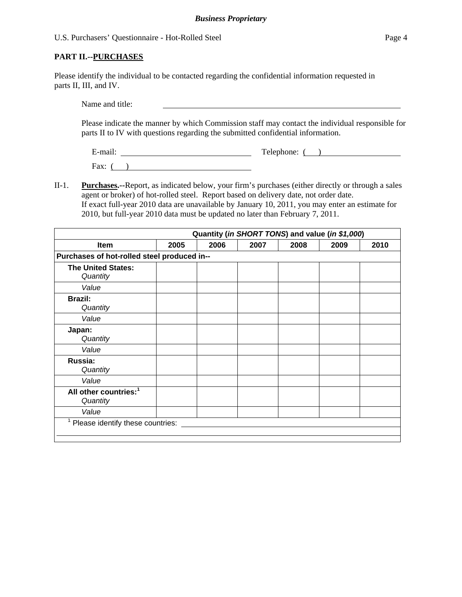### **PART II.--PURCHASES**

Please identify the individual to be contacted regarding the confidential information requested in parts II, III, and IV.

Name and title:

Please indicate the manner by which Commission staff may contact the individual responsible for parts II to IV with questions regarding the submitted confidential information.

E-mail: Telephone: ( )

Fax:  $($ )

II-1. **Purchases.--**Report, as indicated below, your firm's purchases (either directly or through a sales agent or broker) of hot-rolled steel. Report based on delivery date, not order date. If exact full-year 2010 data are unavailable by January 10, 2011, you may enter an estimate for 2010, but full-year 2010 data must be updated no later than February 7, 2011.

| Quantity (in SHORT TONS) and value (in \$1,000) |      |      |      |      |      |      |
|-------------------------------------------------|------|------|------|------|------|------|
| <b>Item</b>                                     | 2005 | 2006 | 2007 | 2008 | 2009 | 2010 |
| Purchases of hot-rolled steel produced in--     |      |      |      |      |      |      |
| <b>The United States:</b><br>Quantity           |      |      |      |      |      |      |
| Value                                           |      |      |      |      |      |      |
| <b>Brazil:</b><br>Quantity                      |      |      |      |      |      |      |
| Value                                           |      |      |      |      |      |      |
| Japan:<br>Quantity                              |      |      |      |      |      |      |
| Value                                           |      |      |      |      |      |      |
| Russia:<br>Quantity                             |      |      |      |      |      |      |
| Value                                           |      |      |      |      |      |      |
| All other countries: <sup>1</sup><br>Quantity   |      |      |      |      |      |      |
| Value                                           |      |      |      |      |      |      |
| 1<br>Please identify these countries:           |      |      |      |      |      |      |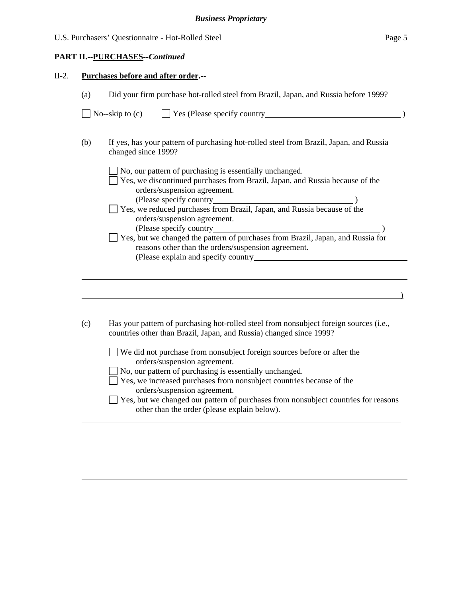#### **PART II.--PURCHASES***--Continued*

 $\overline{a}$ 

 $\overline{a}$ 

l

 $\overline{a}$ 

#### II-2. **Purchases before and after order.--**

| (a) | Did your firm purchase hot-rolled steel from Brazil, Japan, and Russia before 1999?                                                                                            |
|-----|--------------------------------------------------------------------------------------------------------------------------------------------------------------------------------|
|     | No--skip to $(c)$ $\Box$ Yes (Please specify country $\Box$                                                                                                                    |
| (b) | If yes, has your pattern of purchasing hot-rolled steel from Brazil, Japan, and Russia<br>changed since 1999?                                                                  |
|     | No, our pattern of purchasing is essentially unchanged.<br>Yes, we discontinued purchases from Brazil, Japan, and Russia because of the                                        |
|     | orders/suspension agreement.<br>(Please specify country 000 metals) (Please specify country 000 metals) (Please specify counters from Brazil, Japan, and Russia because of the |
|     | orders/suspension agreement.                                                                                                                                                   |
|     | Yes, but we changed the pattern of purchases from Brazil, Japan, and Russia for<br>reasons other than the orders/suspension agreement.                                         |
|     |                                                                                                                                                                                |
|     |                                                                                                                                                                                |

(c) Has your pattern of purchasing hot-rolled steel from nonsubject foreign sources (i.e., countries other than Brazil, Japan, and Russia) changed since 1999?

|        | $\Box$ We did not purchase from nonsubject foreign sources before or after the |  |  |  |  |  |
|--------|--------------------------------------------------------------------------------|--|--|--|--|--|
|        | orders/suspension agreement.                                                   |  |  |  |  |  |
| $\Box$ |                                                                                |  |  |  |  |  |

No, our pattern of purchasing is essentially unchanged.

| Yes, we increased purchases from nonsubject countries because of the |
|----------------------------------------------------------------------|
| orders/suspension agreement.                                         |

| $\Box$ Yes, but we changed our pattern of purchases from nonsubject countries for reasons |  |  |  |
|-------------------------------------------------------------------------------------------|--|--|--|
| other than the order (please explain below).                                              |  |  |  |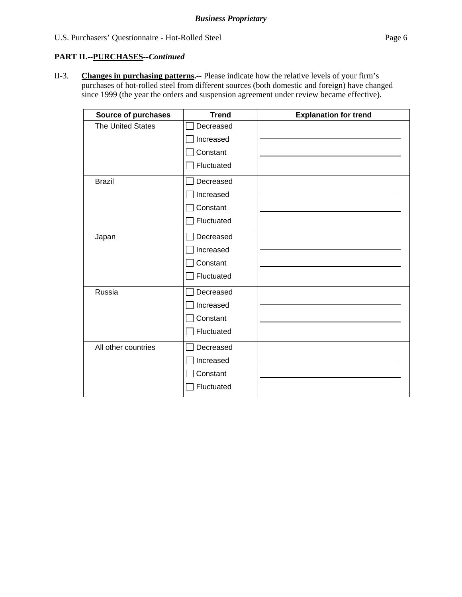#### **PART II.--PURCHASES***--Continued*

II-3. **Changes in purchasing patterns.--** Please indicate how the relative levels of your firm's purchases of hot-rolled steel from different sources (both domestic and foreign) have changed since 1999 (the year the orders and suspension agreement under review became effective).

| <b>Source of purchases</b> | <b>Trend</b> | <b>Explanation for trend</b> |
|----------------------------|--------------|------------------------------|
| <b>The United States</b>   | Decreased    |                              |
|                            | Increased    |                              |
|                            | Constant     |                              |
|                            | Fluctuated   |                              |
| <b>Brazil</b>              | Decreased    |                              |
|                            | Increased    |                              |
|                            | Constant     |                              |
|                            | Fluctuated   |                              |
| Japan                      | Decreased    |                              |
|                            | Increased    |                              |
|                            | Constant     |                              |
|                            | Fluctuated   |                              |
| Russia                     | Decreased    |                              |
|                            | Increased    |                              |
|                            | Constant     |                              |
|                            | Fluctuated   |                              |
| All other countries        | Decreased    |                              |
|                            | Increased    |                              |
|                            | Constant     |                              |
|                            | Fluctuated   |                              |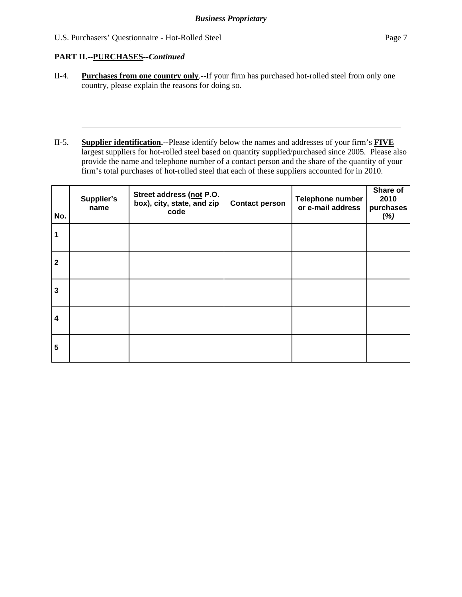## **PART II.--PURCHASES***--Continued*

 $\overline{a}$ 

 $\overline{a}$ 

- II-4. **Purchases from one country only**.--If your firm has purchased hot-rolled steel from only one country, please explain the reasons for doing so.
- II-5. **Supplier identification.--**Please identify below the names and addresses of your firm's **FIVE** largest suppliers for hot-rolled steel based on quantity supplied/purchased since 2005. Please also provide the name and telephone number of a contact person and the share of the quantity of your firm's total purchases of hot-rolled steel that each of these suppliers accounted for in 2010.

| No.          | Supplier's<br>name | Street address (not P.O.<br>box), city, state, and zip<br>code | <b>Contact person</b> | Telephone number<br>or e-mail address | Share of<br>2010<br>purchases<br>(%) |
|--------------|--------------------|----------------------------------------------------------------|-----------------------|---------------------------------------|--------------------------------------|
|              |                    |                                                                |                       |                                       |                                      |
| $\mathbf{2}$ |                    |                                                                |                       |                                       |                                      |
| 3            |                    |                                                                |                       |                                       |                                      |
| 4            |                    |                                                                |                       |                                       |                                      |
| 5            |                    |                                                                |                       |                                       |                                      |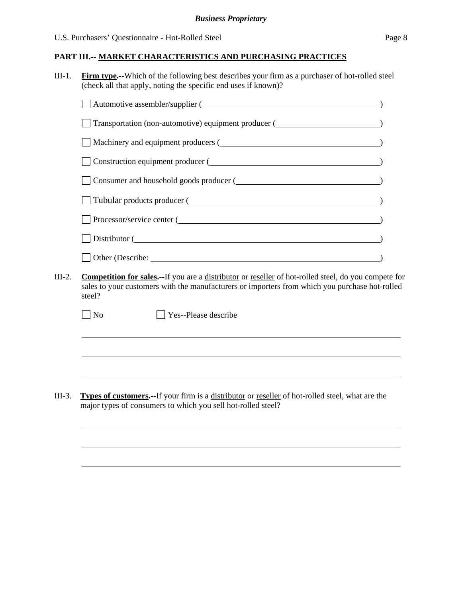III-1. **Firm type.--**Which of the following best describes your firm as a purchaser of hot-rolled steel (check all that apply, noting the specific end uses if known)?

| $\Box$ Automotive assembler/supplier ( $\Box$                                                                                 |  |  |  |  |
|-------------------------------------------------------------------------------------------------------------------------------|--|--|--|--|
| Transportation (non-automotive) equipment producer ( <b>Conserverent</b> conservation (in an automotive) equipment producer ( |  |  |  |  |
|                                                                                                                               |  |  |  |  |
| Construction equipment producer (                                                                                             |  |  |  |  |
| Consumer and household goods producer (                                                                                       |  |  |  |  |
| Tubular products producer (                                                                                                   |  |  |  |  |
| Processor/service center (                                                                                                    |  |  |  |  |
| Distributor (                                                                                                                 |  |  |  |  |
| Other (Describe:                                                                                                              |  |  |  |  |

III-2. **Competition for sales.--**If you are a distributor or reseller of hot-rolled steel, do you compete for sales to your customers with the manufacturers or importers from which you purchase hot-rolled steel?

| $\Box$ No | Yes--Please describe |
|-----------|----------------------|
|-----------|----------------------|

 $\overline{a}$ 

l

III-3. **Types of customers.--**If your firm is a distributor or reseller of hot-rolled steel, what are the major types of consumers to which you sell hot-rolled steel?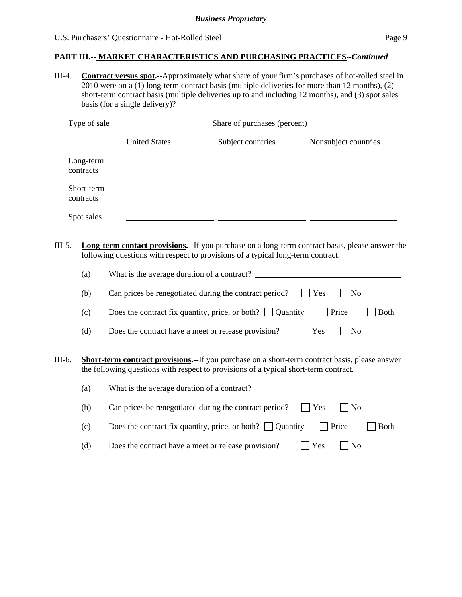III-4. **Contract versus spot.--**Approximately what share of your firm's purchases of hot-rolled steel in 2010 were on a (1) long-term contract basis (multiple deliveries for more than 12 months), (2) short-term contract basis (multiple deliveries up to and including 12 months), and (3) spot sales basis (for a single delivery)?

| Type of sale            |                      | Share of purchases (percent) |                      |
|-------------------------|----------------------|------------------------------|----------------------|
|                         | <b>United States</b> | Subject countries            | Nonsubject countries |
| Long-term<br>contracts  |                      |                              |                      |
| Short-term<br>contracts |                      |                              |                      |
| Spot sales              |                      |                              |                      |

III-5. **Long-term contact provisions.--**If you purchase on a long-term contract basis, please answer the following questions with respect to provisions of a typical long-term contract.

|        | (a) | What is the average duration of a contract?                                                                                                                                                    |
|--------|-----|------------------------------------------------------------------------------------------------------------------------------------------------------------------------------------------------|
|        | (b) | Can prices be renegotiated during the contract period?<br>Yes<br>$ $ No                                                                                                                        |
|        | (c) | Price<br>Does the contract fix quantity, price, or both? $\Box$ Quantity<br>Both                                                                                                               |
|        | (d) | Yes<br>$ $ No<br>Does the contract have a meet or release provision?                                                                                                                           |
| III-6. |     | <b>Short-term contract provisions.--</b> If you purchase on a short-term contract basis, please answer<br>the following questions with respect to provisions of a typical short-term contract. |
|        | (a) | What is the average duration of a contract?                                                                                                                                                    |
|        | (b) | Can prices be renegotiated during the contract period?<br>Yes<br>$ $ No                                                                                                                        |
|        | (c) | Does the contract fix quantity, price, or both? $\Box$ Quantity<br>Price<br><b>Both</b>                                                                                                        |
|        | (d) | Yes<br>N <sub>o</sub><br>Does the contract have a meet or release provision?                                                                                                                   |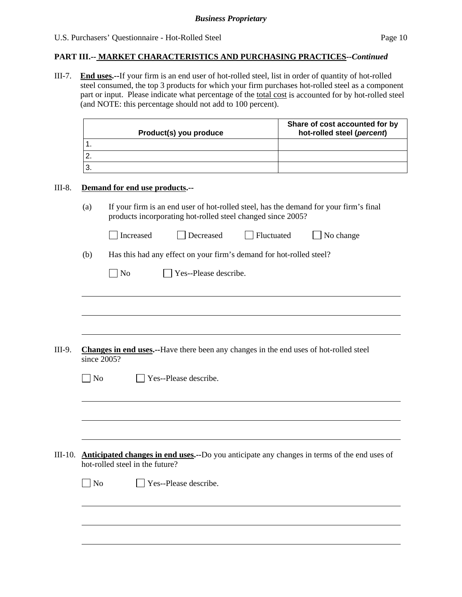III-7. **End uses.--**If your firm is an end user of hot-rolled steel, list in order of quantity of hot-rolled steel consumed, the top 3 products for which your firm purchases hot-rolled steel as a component part or input. Please indicate what percentage of the total cost is accounted for by hot-rolled steel (and NOTE: this percentage should not add to 100 percent).

|                   | Product(s) you produce                                                                                                                               | Share of cost accounted for by<br>hot-rolled steel (percent) |
|-------------------|------------------------------------------------------------------------------------------------------------------------------------------------------|--------------------------------------------------------------|
| 1.                |                                                                                                                                                      |                                                              |
| 2.                |                                                                                                                                                      |                                                              |
| 3.                |                                                                                                                                                      |                                                              |
|                   | Demand for end use products.--                                                                                                                       |                                                              |
| (a)               | If your firm is an end user of hot-rolled steel, has the demand for your firm's final<br>products incorporating hot-rolled steel changed since 2005? |                                                              |
|                   | Decreased<br>Fluctuated<br>Increased                                                                                                                 | No change                                                    |
| (b)               | Has this had any effect on your firm's demand for hot-rolled steel?                                                                                  |                                                              |
|                   | Yes--Please describe.<br>No                                                                                                                          |                                                              |
|                   |                                                                                                                                                      |                                                              |
|                   |                                                                                                                                                      |                                                              |
| $\blacksquare$ No | <b>Changes in end uses.</b> --Have there been any changes in the end uses of hot-rolled steel<br>since 2005?<br>Yes--Please describe.                |                                                              |
|                   |                                                                                                                                                      |                                                              |
|                   |                                                                                                                                                      |                                                              |
|                   | III-10. <b>Anticipated changes in end uses.</b> --Do you anticipate any changes in terms of the end uses of<br>hot-rolled steel in the future?       |                                                              |
| $\Box$ No         | Yes--Please describe.                                                                                                                                |                                                              |
|                   |                                                                                                                                                      |                                                              |
|                   |                                                                                                                                                      |                                                              |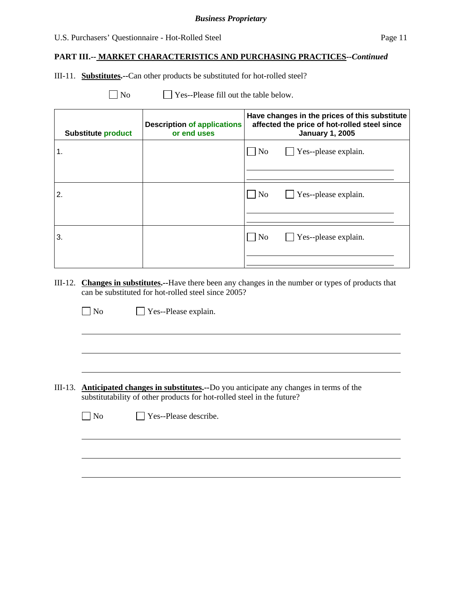#### *Business Proprietary*

### U.S. Purchasers' Questionnaire - Hot-Rolled Steel Page 11

### **PART III.-- MARKET CHARACTERISTICS AND PURCHASING PRACTICES***--Continued*

III-11. **Substitutes.--**Can other products be substituted for hot-rolled steel?

 $\Box$  No  $\Box$  Yes--Please fill out the table below.

| <b>Substitute product</b> | <b>Description of applications</b><br>or end uses | Have changes in the prices of this substitute<br>affected the price of hot-rolled steel since<br><b>January 1, 2005</b> |  |  |
|---------------------------|---------------------------------------------------|-------------------------------------------------------------------------------------------------------------------------|--|--|
| $\mathbf 1$ .             |                                                   | $\Box$ Yes--please explain.<br>No                                                                                       |  |  |
| $\overline{2}$ .          |                                                   | $\Box$ Yes--please explain.<br>  No                                                                                     |  |  |
| 3.                        |                                                   | $\Box$ Yes--please explain.<br>  No                                                                                     |  |  |

III-12. **Changes in substitutes.--**Have there been any changes in the number or types of products that can be substituted for hot-rolled steel since 2005?

No Yes--Please explain.

 $\overline{a}$ 

 $\overline{a}$ 

III-13. **Anticipated changes in substitutes.--**Do you anticipate any changes in terms of the substitutability of other products for hot-rolled steel in the future?

| $\Box$ No | $\Box$ Yes--Please describe. |
|-----------|------------------------------|
|-----------|------------------------------|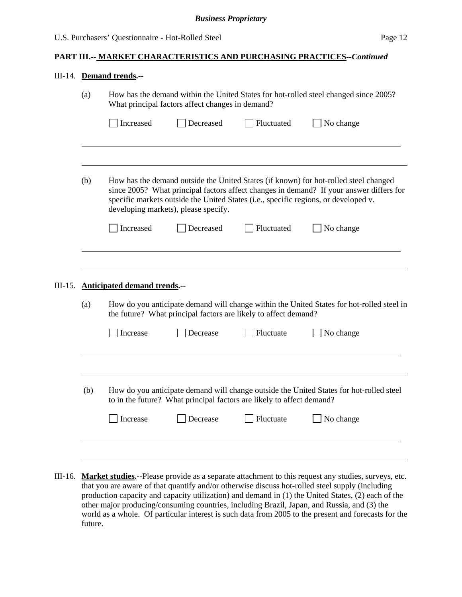#### III-14. **Demand trends.--**

| (a)                                                                                                                                                                                                                                                                                                                   |                                                   | How has the demand within the United States for hot-rolled steel changed since 2005?<br>What principal factors affect changes in demand? |            |                                                                                                                                                                                      |  |  |  |
|-----------------------------------------------------------------------------------------------------------------------------------------------------------------------------------------------------------------------------------------------------------------------------------------------------------------------|---------------------------------------------------|------------------------------------------------------------------------------------------------------------------------------------------|------------|--------------------------------------------------------------------------------------------------------------------------------------------------------------------------------------|--|--|--|
|                                                                                                                                                                                                                                                                                                                       | Increased<br>Decreased<br>Fluctuated              |                                                                                                                                          | No change  |                                                                                                                                                                                      |  |  |  |
|                                                                                                                                                                                                                                                                                                                       |                                                   |                                                                                                                                          |            |                                                                                                                                                                                      |  |  |  |
| (b)<br>How has the demand outside the United States (if known) for hot-rolled steel changed<br>since 2005? What principal factors affect changes in demand? If your answer differs for<br>specific markets outside the United States (i.e., specific regions, or developed v.<br>developing markets), please specify. |                                                   |                                                                                                                                          |            |                                                                                                                                                                                      |  |  |  |
|                                                                                                                                                                                                                                                                                                                       |                                                   |                                                                                                                                          |            |                                                                                                                                                                                      |  |  |  |
|                                                                                                                                                                                                                                                                                                                       | Increased<br>III-15. Anticipated demand trends.-- | Decreased                                                                                                                                | Fluctuated | No change                                                                                                                                                                            |  |  |  |
| (a)                                                                                                                                                                                                                                                                                                                   |                                                   | the future? What principal factors are likely to affect demand?                                                                          |            |                                                                                                                                                                                      |  |  |  |
|                                                                                                                                                                                                                                                                                                                       | Increase                                          | Decrease                                                                                                                                 | Fluctuate  | No change                                                                                                                                                                            |  |  |  |
| (b)                                                                                                                                                                                                                                                                                                                   |                                                   | to in the future? What principal factors are likely to affect demand?                                                                    |            | How do you anticipate demand will change within the United States for hot-rolled steel in<br>How do you anticipate demand will change outside the United States for hot-rolled steel |  |  |  |

III-16. **Market studies.--**Please provide as a separate attachment to this request any studies, surveys, etc. that you are aware of that quantify and/or otherwise discuss hot-rolled steel supply (including production capacity and capacity utilization) and demand in (1) the United States, (2) each of the other major producing/consuming countries, including Brazil, Japan, and Russia, and (3) the world as a whole. Of particular interest is such data from 2005 to the present and forecasts for the future.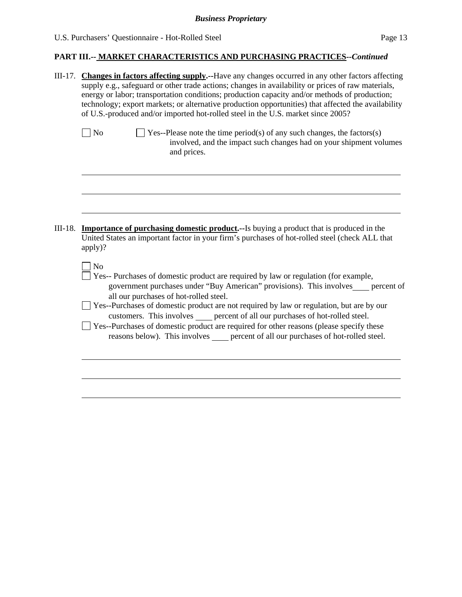|         | III-17. Changes in factors affecting supply.--Have any changes occurred in any other factors affecting<br>supply e.g., safeguard or other trade actions; changes in availability or prices of raw materials,<br>energy or labor; transportation conditions; production capacity and/or methods of production;<br>technology; export markets; or alternative production opportunities) that affected the availability<br>of U.S.-produced and/or imported hot-rolled steel in the U.S. market since 2005?                                                                                     |  |  |  |  |
|---------|----------------------------------------------------------------------------------------------------------------------------------------------------------------------------------------------------------------------------------------------------------------------------------------------------------------------------------------------------------------------------------------------------------------------------------------------------------------------------------------------------------------------------------------------------------------------------------------------|--|--|--|--|
|         | $\Box$ Yes--Please note the time period(s) of any such changes, the factors(s)<br>$\big $ No<br>involved, and the impact such changes had on your shipment volumes<br>and prices.                                                                                                                                                                                                                                                                                                                                                                                                            |  |  |  |  |
| III-18. | <b>Importance of purchasing domestic product.</b> --Is buying a product that is produced in the<br>United States an important factor in your firm's purchases of hot-rolled steel (check ALL that<br>apply)?                                                                                                                                                                                                                                                                                                                                                                                 |  |  |  |  |
|         | N <sub>o</sub><br>Yes-- Purchases of domestic product are required by law or regulation (for example,<br>government purchases under "Buy American" provisions). This involves____ percent of<br>all our purchases of hot-rolled steel.<br>Yes--Purchases of domestic product are not required by law or regulation, but are by our<br>customers. This involves error of all our purchases of hot-rolled steel.<br>Yes--Purchases of domestic product are required for other reasons (please specify these<br>reasons below). This involves percent of all our purchases of hot-rolled steel. |  |  |  |  |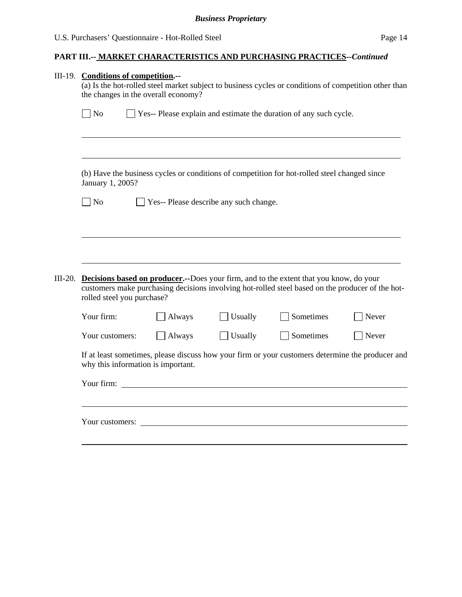|           | III-19. Conditions of competition.--<br>(a) Is the hot-rolled steel market subject to business cycles or conditions of competition other than<br>the changes in the overall economy? |        |                                        |                                                                                                                                                                                                                 |       |  |  |
|-----------|--------------------------------------------------------------------------------------------------------------------------------------------------------------------------------------|--------|----------------------------------------|-----------------------------------------------------------------------------------------------------------------------------------------------------------------------------------------------------------------|-------|--|--|
|           | $\vert$ No<br>Yes-- Please explain and estimate the duration of any such cycle.                                                                                                      |        |                                        |                                                                                                                                                                                                                 |       |  |  |
|           | January 1, 2005?                                                                                                                                                                     |        |                                        | (b) Have the business cycles or conditions of competition for hot-rolled steel changed since                                                                                                                    |       |  |  |
|           | $\log$                                                                                                                                                                               |        | Yes-- Please describe any such change. |                                                                                                                                                                                                                 |       |  |  |
| $III-20.$ | rolled steel you purchase?<br>Your firm:                                                                                                                                             | Always | Usually                                | <b>Decisions based on producer.</b> --Does your firm, and to the extent that you know, do your<br>customers make purchasing decisions involving hot-rolled steel based on the producer of the hot-<br>Sometimes | Never |  |  |
|           | Your customers:                                                                                                                                                                      | Always | Usually                                | Sometimes                                                                                                                                                                                                       | Never |  |  |
|           | If at least sometimes, please discuss how your firm or your customers determine the producer and<br>why this information is important.                                               |        |                                        |                                                                                                                                                                                                                 |       |  |  |
|           | Your firm:                                                                                                                                                                           |        |                                        |                                                                                                                                                                                                                 |       |  |  |
|           |                                                                                                                                                                                      |        |                                        |                                                                                                                                                                                                                 |       |  |  |
|           |                                                                                                                                                                                      |        |                                        |                                                                                                                                                                                                                 |       |  |  |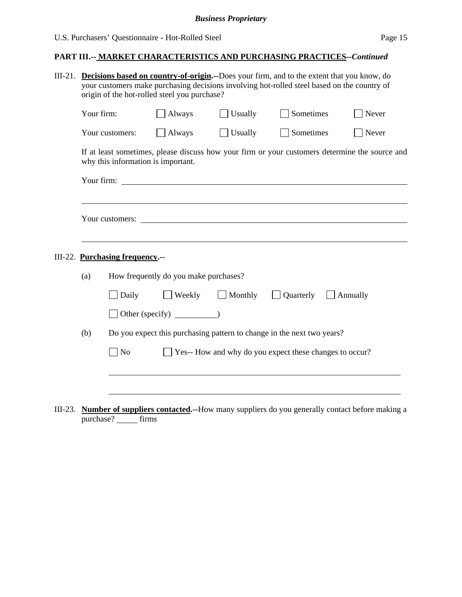| $III-21.$ | <b>Decisions based on country-of-origin.</b> --Does your firm, and to the extent that you know, do<br>your customers make purchasing decisions involving hot-rolled steel based on the country of<br>origin of the hot-rolled steel you purchase? |                                    |                                       |         |                                                                        |                                                                                                |  |
|-----------|---------------------------------------------------------------------------------------------------------------------------------------------------------------------------------------------------------------------------------------------------|------------------------------------|---------------------------------------|---------|------------------------------------------------------------------------|------------------------------------------------------------------------------------------------|--|
|           | Your firm:                                                                                                                                                                                                                                        |                                    | $\Box$ Always                         | Usually | Sometimes                                                              | Never                                                                                          |  |
|           |                                                                                                                                                                                                                                                   | Your customers:                    | $\Box$ Always                         | Usually | Sometimes                                                              | Never                                                                                          |  |
|           |                                                                                                                                                                                                                                                   | why this information is important. |                                       |         |                                                                        | If at least sometimes, please discuss how your firm or your customers determine the source and |  |
|           |                                                                                                                                                                                                                                                   |                                    |                                       |         |                                                                        |                                                                                                |  |
|           |                                                                                                                                                                                                                                                   |                                    |                                       |         |                                                                        |                                                                                                |  |
|           |                                                                                                                                                                                                                                                   | III-22. Purchasing frequency.--    |                                       |         |                                                                        |                                                                                                |  |
|           | (a)                                                                                                                                                                                                                                               |                                    | How frequently do you make purchases? |         |                                                                        |                                                                                                |  |
|           |                                                                                                                                                                                                                                                   | Daily                              | $\Box$ Weekly                         | Monthly | Quarterly                                                              | Annually                                                                                       |  |
|           |                                                                                                                                                                                                                                                   |                                    | $\Box$ Other (specify) $\Box$         |         |                                                                        |                                                                                                |  |
|           | (b)                                                                                                                                                                                                                                               |                                    |                                       |         | Do you expect this purchasing pattern to change in the next two years? |                                                                                                |  |
|           |                                                                                                                                                                                                                                                   | $\Box$ No                          |                                       |         | Yes-- How and why do you expect these changes to occur?                |                                                                                                |  |
|           |                                                                                                                                                                                                                                                   |                                    |                                       |         |                                                                        |                                                                                                |  |
|           |                                                                                                                                                                                                                                                   |                                    |                                       |         |                                                                        |                                                                                                |  |
|           |                                                                                                                                                                                                                                                   |                                    |                                       |         |                                                                        |                                                                                                |  |

III-23. **Number of suppliers contacted.--**How many suppliers do you generally contact before making a purchase? \_\_\_\_\_ firms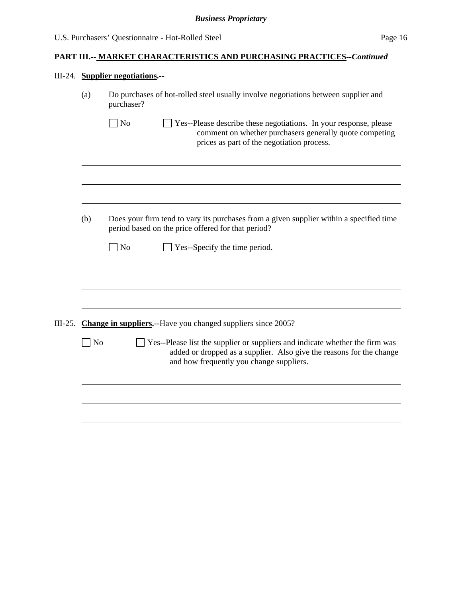# III-24. **Supplier negotiations.--**

|           | (a)            | Do purchases of hot-rolled steel usually involve negotiations between supplier and<br>purchaser?                                                                                                 |  |  |  |  |
|-----------|----------------|--------------------------------------------------------------------------------------------------------------------------------------------------------------------------------------------------|--|--|--|--|
|           |                | No<br>Yes--Please describe these negotiations. In your response, please<br>comment on whether purchasers generally quote competing<br>prices as part of the negotiation process.                 |  |  |  |  |
|           |                |                                                                                                                                                                                                  |  |  |  |  |
|           | (b)            | Does your firm tend to vary its purchases from a given supplier within a specified time<br>period based on the price offered for that period?                                                    |  |  |  |  |
|           |                | No<br>Yes--Specify the time period.                                                                                                                                                              |  |  |  |  |
|           |                |                                                                                                                                                                                                  |  |  |  |  |
|           |                |                                                                                                                                                                                                  |  |  |  |  |
| $III-25.$ |                | <b>Change in suppliers.</b> --Have you changed suppliers since 2005?                                                                                                                             |  |  |  |  |
|           | N <sub>o</sub> | Yes--Please list the supplier or suppliers and indicate whether the firm was<br>added or dropped as a supplier. Also give the reasons for the change<br>and how frequently you change suppliers. |  |  |  |  |
|           |                |                                                                                                                                                                                                  |  |  |  |  |
|           |                |                                                                                                                                                                                                  |  |  |  |  |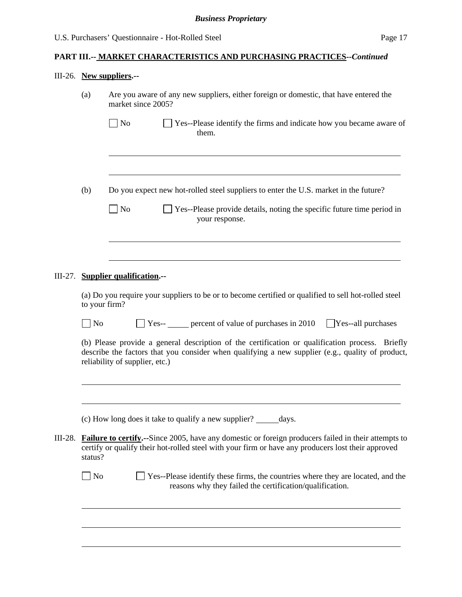# III-26. **New suppliers.--**

| (a)                         | Are you aware of any new suppliers, either foreign or domestic, that have entered the<br>market since 2005?                                                                                                                           |
|-----------------------------|---------------------------------------------------------------------------------------------------------------------------------------------------------------------------------------------------------------------------------------|
|                             | $\vert$ No<br>Yes--Please identify the firms and indicate how you became aware of<br>them.                                                                                                                                            |
|                             |                                                                                                                                                                                                                                       |
| (b)                         | Do you expect new hot-rolled steel suppliers to enter the U.S. market in the future?                                                                                                                                                  |
|                             | $\sqrt{\phantom{a}}$ No<br>Yes--Please provide details, noting the specific future time period in<br>your response.                                                                                                                   |
|                             |                                                                                                                                                                                                                                       |
|                             | III-27. Supplier qualification.--                                                                                                                                                                                                     |
| to your firm?               | (a) Do you require your suppliers to be or to become certified or qualified to sell hot-rolled steel                                                                                                                                  |
| $\overline{\phantom{a}}$ No | $\Box$ Yes-- $\Box$ percent of value of purchases in 2010<br>Yes--all purchases                                                                                                                                                       |
|                             | (b) Please provide a general description of the certification or qualification process. Briefly<br>describe the factors that you consider when qualifying a new supplier (e.g., quality of product,<br>reliability of supplier, etc.) |
|                             |                                                                                                                                                                                                                                       |
|                             | (c) How long does it take to qualify a new supplier?<br>days.                                                                                                                                                                         |
| status?                     | III-28. <b>Failure to certify.</b> --Since 2005, have any domestic or foreign producers failed in their attempts to<br>certify or qualify their hot-rolled steel with your firm or have any producers lost their approved             |
| $\bigcup$ No                | Yes--Please identify these firms, the countries where they are located, and the<br>reasons why they failed the certification/qualification.                                                                                           |
|                             |                                                                                                                                                                                                                                       |
|                             |                                                                                                                                                                                                                                       |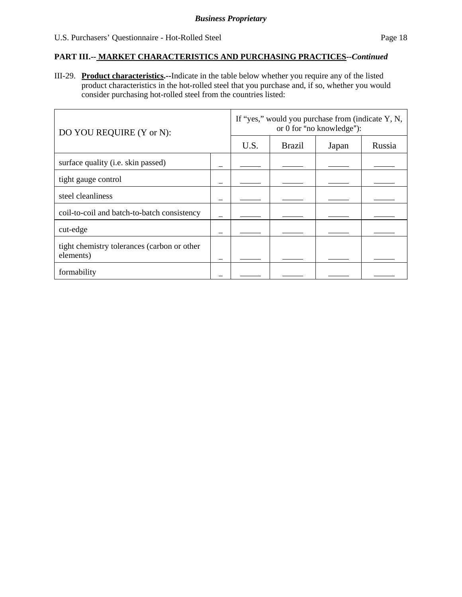III-29. **Product characteristics.--**Indicate in the table below whether you require any of the listed product characteristics in the hot-rolled steel that you purchase and, if so, whether you would consider purchasing hot-rolled steel from the countries listed:

| DO YOU REQUIRE (Y or N):                                 |      |               | If "yes," would you purchase from (indicate Y, N,<br>or 0 for "no knowledge"): |        |  |
|----------------------------------------------------------|------|---------------|--------------------------------------------------------------------------------|--------|--|
|                                                          | U.S. | <b>Brazil</b> | Japan                                                                          | Russia |  |
| surface quality (i.e. skin passed)                       |      |               |                                                                                |        |  |
| tight gauge control                                      |      |               |                                                                                |        |  |
| steel cleanliness                                        |      |               |                                                                                |        |  |
| coil-to-coil and batch-to-batch consistency              |      |               |                                                                                |        |  |
| cut-edge                                                 |      |               |                                                                                |        |  |
| tight chemistry tolerances (carbon or other<br>elements) |      |               |                                                                                |        |  |
| formability                                              |      |               |                                                                                |        |  |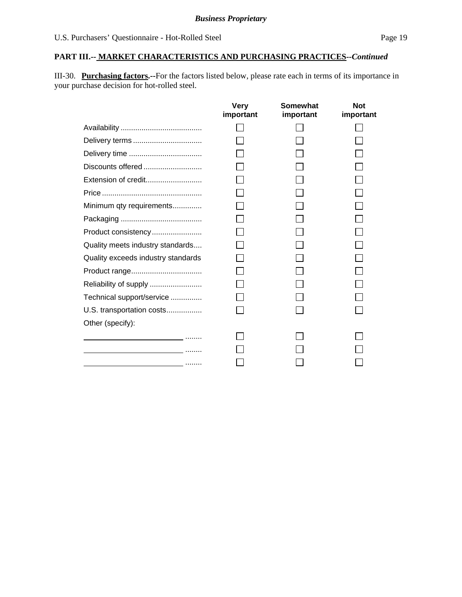III-30. **Purchasing factors.--**For the factors listed below, please rate each in terms of its importance in your purchase decision for hot-rolled steel.

|                                                 | <b>Very</b><br>important | Somewhat<br>important | <b>Not</b><br>important |
|-------------------------------------------------|--------------------------|-----------------------|-------------------------|
|                                                 |                          |                       |                         |
|                                                 |                          |                       |                         |
|                                                 |                          |                       |                         |
| Discounts offered                               |                          |                       |                         |
| Extension of credit                             |                          |                       |                         |
|                                                 |                          |                       |                         |
| Minimum qty requirements                        |                          |                       |                         |
|                                                 |                          |                       |                         |
| Product consistency                             |                          |                       |                         |
| Quality meets industry standards                |                          |                       |                         |
| Quality exceeds industry standards              |                          |                       |                         |
| Product range                                   |                          |                       |                         |
| Reliability of supply                           |                          |                       |                         |
| Technical support/service                       |                          |                       |                         |
| U.S. transportation costs                       |                          |                       |                         |
| Other (specify):                                |                          |                       |                         |
| the contract of the contract of the contract of |                          |                       |                         |
|                                                 |                          |                       |                         |
|                                                 |                          |                       |                         |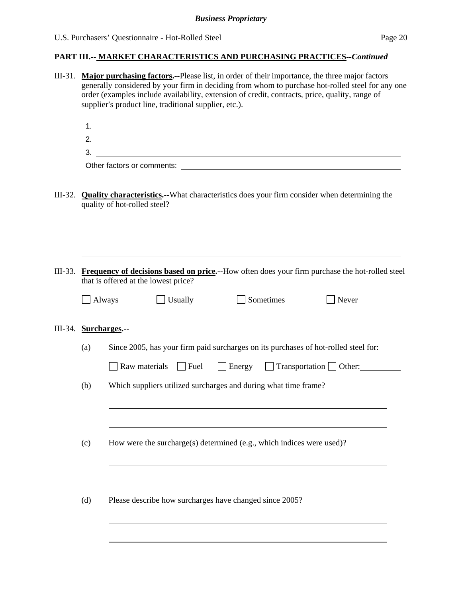# *Business Proprietary*

# **PART III.-- MARKET CHARACTERISTICS AND PURCHASING PRACTICES***--Continued*

|           |                       | III-31. Major purchasing factors.--Please list, in order of their importance, the three major factors<br>generally considered by your firm in deciding from whom to purchase hot-rolled steel for any one<br>order (examples include availability, extension of credit, contracts, price, quality, range of<br>supplier's product line, traditional supplier, etc.). |
|-----------|-----------------------|----------------------------------------------------------------------------------------------------------------------------------------------------------------------------------------------------------------------------------------------------------------------------------------------------------------------------------------------------------------------|
|           |                       | $1.$ $\overline{\phantom{a}}$                                                                                                                                                                                                                                                                                                                                        |
|           |                       | 2. $\overline{\phantom{a}}$                                                                                                                                                                                                                                                                                                                                          |
|           |                       | $3.$ $\overline{\phantom{a}}$                                                                                                                                                                                                                                                                                                                                        |
|           |                       |                                                                                                                                                                                                                                                                                                                                                                      |
| III-32.   |                       | <b>Quality characteristics.</b> --What characteristics does your firm consider when determining the<br>quality of hot-rolled steel?                                                                                                                                                                                                                                  |
|           |                       |                                                                                                                                                                                                                                                                                                                                                                      |
| $III-33.$ |                       | Frequency of decisions based on price.--How often does your firm purchase the hot-rolled steel<br>that is offered at the lowest price?                                                                                                                                                                                                                               |
|           | Always                | Sometimes<br>Usually<br>$\exists$ Never                                                                                                                                                                                                                                                                                                                              |
|           | III-34. Surcharges.-- |                                                                                                                                                                                                                                                                                                                                                                      |
|           | (a)                   | Since 2005, has your firm paid surcharges on its purchases of hot-rolled steel for:                                                                                                                                                                                                                                                                                  |
|           |                       | $\Box$ Raw materials $\Box$ Fuel<br>Energy Transportation Other:                                                                                                                                                                                                                                                                                                     |
|           | (b)                   | Which suppliers utilized surcharges and during what time frame?                                                                                                                                                                                                                                                                                                      |
|           |                       |                                                                                                                                                                                                                                                                                                                                                                      |
|           | (c)                   | How were the surcharge(s) determined (e.g., which indices were used)?                                                                                                                                                                                                                                                                                                |
|           |                       |                                                                                                                                                                                                                                                                                                                                                                      |
|           | (d)                   | Please describe how surcharges have changed since 2005?                                                                                                                                                                                                                                                                                                              |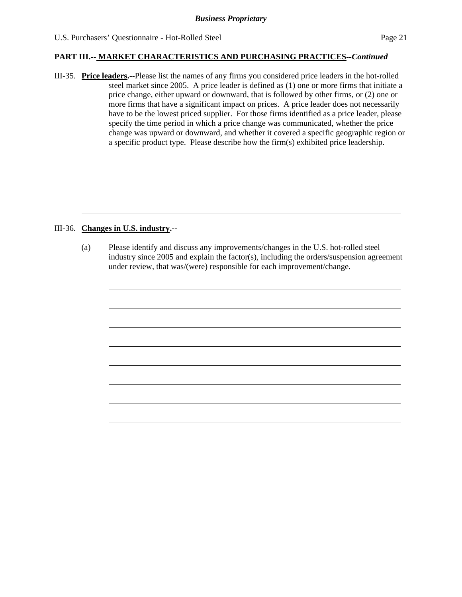III-35. **Price leaders.--**Please list the names of any firms you considered price leaders in the hot-rolled steel market since 2005. A price leader is defined as (1) one or more firms that initiate a price change, either upward or downward, that is followed by other firms, or (2) one or more firms that have a significant impact on prices. A price leader does not necessarily have to be the lowest priced supplier. For those firms identified as a price leader, please specify the time period in which a price change was communicated, whether the price change was upward or downward, and whether it covered a specific geographic region or a specific product type. Please describe how the firm(s) exhibited price leadership.

### III-36. **Changes in U.S. industry.--**

l

 $\overline{a}$ 

(a) Please identify and discuss any improvements/changes in the U.S. hot-rolled steel industry since 2005 and explain the factor(s), including the orders/suspension agreement under review, that was/(were) responsible for each improvement/change.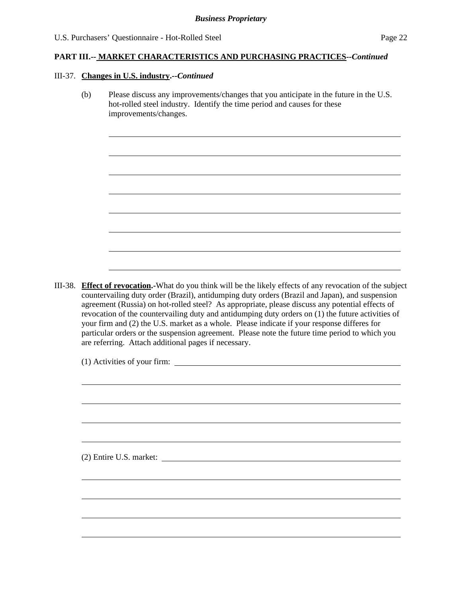#### III-37. **Changes in U.S. industry.--***Continued*

l

(b) Please discuss any improvements/changes that you anticipate in the future in the U.S. hot-rolled steel industry. Identify the time period and causes for these improvements/changes.

III-38. **Effect of revocation.-**What do you think will be the likely effects of any revocation of the subject countervailing duty order (Brazil), antidumping duty orders (Brazil and Japan), and suspension agreement (Russia) on hot-rolled steel? As appropriate, please discuss any potential effects of revocation of the countervailing duty and antidumping duty orders on (1) the future activities of your firm and (2) the U.S. market as a whole. Please indicate if your response differes for particular orders or the suspension agreement. Please note the future time period to which you are referring. Attach additional pages if necessary.

(1) Activities of your firm:

(2) Entire U.S. market: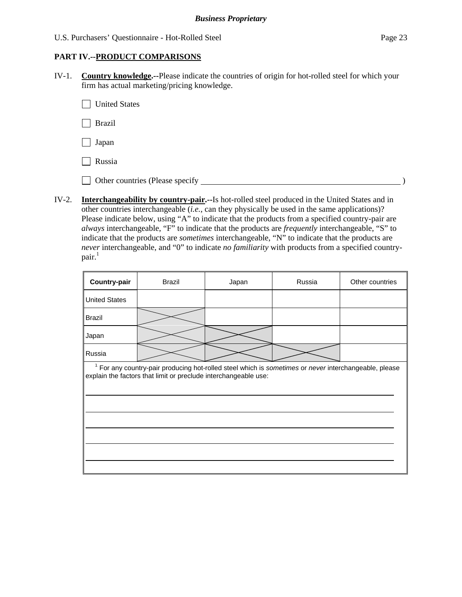### **PART IV.--PRODUCT COMPARISONS**

IV-1. **Country knowledge.--**Please indicate the countries of origin for hot-rolled steel for which your firm has actual marketing/pricing knowledge.

United States

Brazil

Japan

Russia

Other countries (Please specify  $\Box$ 

IV-2. **Interchangeability by country-pair.--**Is hot-rolled steel produced in the United States and in other countries interchangeable (*i.e.*, can they physically be used in the same applications)? Please indicate below, using "A" to indicate that the products from a specified country-pair are *always* interchangeable, "F" to indicate that the products are *frequently* interchangeable, "S" to indicate that the products are *sometimes* interchangeable, "N" to indicate that the products are *never* interchangeable, and "0" to indicate *no familiarity* with products from a specified country $pair.<sup>1</sup>$ 

| Country-pair         | <b>Brazil</b>                                                                                                                                                                       | Japan | Russia | Other countries |
|----------------------|-------------------------------------------------------------------------------------------------------------------------------------------------------------------------------------|-------|--------|-----------------|
| <b>United States</b> |                                                                                                                                                                                     |       |        |                 |
| <b>Brazil</b>        |                                                                                                                                                                                     |       |        |                 |
| Japan                |                                                                                                                                                                                     |       |        |                 |
| Russia               |                                                                                                                                                                                     |       |        |                 |
|                      | <sup>1</sup> For any country-pair producing hot-rolled steel which is sometimes or never interchangeable, please<br>explain the factors that limit or preclude interchangeable use: |       |        |                 |
|                      |                                                                                                                                                                                     |       |        |                 |
|                      |                                                                                                                                                                                     |       |        |                 |
|                      |                                                                                                                                                                                     |       |        |                 |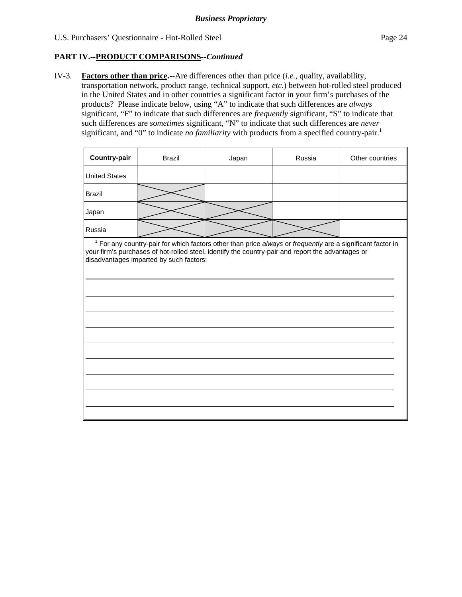## **PART IV.--PRODUCT COMPARISONS***--Continued*

IV-3. **Factors other than price.--**Are differences other than price (*i.e.*, quality, availability, transportation network, product range, technical support, *etc.*) between hot-rolled steel produced in the United States and in other countries a significant factor in your firm's purchases of the products? Please indicate below, using "A" to indicate that such differences are *always* significant, "F" to indicate that such differences are *frequently* significant, "S" to indicate that such differences are *sometimes* significant, "N" to indicate that such differences are *never* significant, and "0" to indicate *no familiarity* with products from a specified country-pair.<sup>1</sup>

| Country-pair         | <b>Brazil</b>                                                                                            | Japan | Russia | Other countries |
|----------------------|----------------------------------------------------------------------------------------------------------|-------|--------|-----------------|
| <b>United States</b> |                                                                                                          |       |        |                 |
| Brazil               |                                                                                                          |       |        |                 |
| Japan                |                                                                                                          |       |        |                 |
| Russia               |                                                                                                          |       |        |                 |
|                      | For any country poir for which factors ather than price always or frequently are a cignificant factor in |       |        |                 |

 $\overline{\phantom{a}}$  For any country-pair for which factors other than price *always* or *frequently* are a significant factor in your firm's purchases of hot-rolled steel, identify the country-pair and report the advantages or disadvantages imparted by such factors: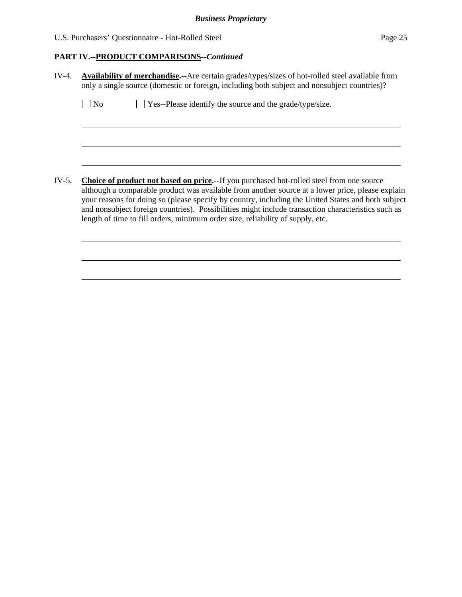# **PART IV.--PRODUCT COMPARISONS***--Continued*

| IV-4. | <b>Availability of merchandise.</b> --Are certain grades/types/sizes of hot-rolled steel available from<br>only a single source (domestic or foreign, including both subject and nonsubject countries)?                                                                                                                                                                                                                                                                                            |
|-------|----------------------------------------------------------------------------------------------------------------------------------------------------------------------------------------------------------------------------------------------------------------------------------------------------------------------------------------------------------------------------------------------------------------------------------------------------------------------------------------------------|
|       | $\Box$ Yes--Please identify the source and the grade/type/size.<br>N <sub>0</sub>                                                                                                                                                                                                                                                                                                                                                                                                                  |
|       |                                                                                                                                                                                                                                                                                                                                                                                                                                                                                                    |
|       |                                                                                                                                                                                                                                                                                                                                                                                                                                                                                                    |
| IV-5. | <b>Choice of product not based on price.</b> --If you purchased hot-rolled steel from one source<br>although a comparable product was available from another source at a lower price, please explain<br>your reasons for doing so (please specify by country, including the United States and both subject<br>and nonsubject foreign countries). Possibilities might include transaction characteristics such as<br>length of time to fill orders, minimum order size, reliability of supply, etc. |
|       |                                                                                                                                                                                                                                                                                                                                                                                                                                                                                                    |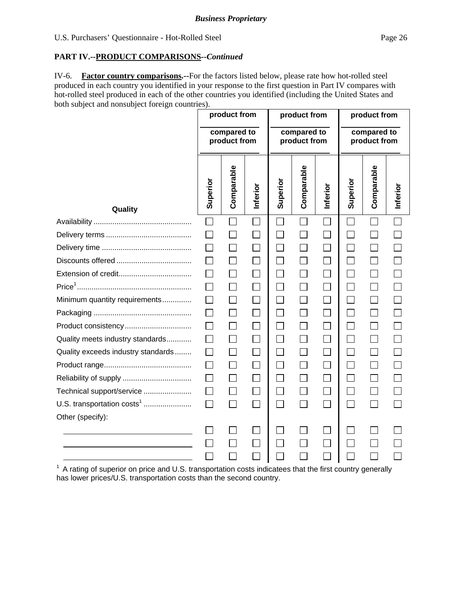### **PART IV.--PRODUCT COMPARISONS***--Continued*

IV-6. **Factor country comparisons.--**For the factors listed below, please rate how hot-rolled steel produced in each country you identified in your response to the first question in Part IV compares with hot-rolled steel produced in each of the other countries you identified (including the United States and both subject and nonsubject foreign countries).

|                                        |          | product from                |              | product from      |                             |          | product from |                             |          |  |
|----------------------------------------|----------|-----------------------------|--------------|-------------------|-----------------------------|----------|--------------|-----------------------------|----------|--|
|                                        |          | compared to<br>product from |              |                   | compared to<br>product from |          |              | compared to<br>product from |          |  |
| Quality                                | Superior | Comparable                  | Inferior     | Superior          | Comparable                  | Inferior | Superior     | Comparable                  | Inferior |  |
|                                        |          |                             |              |                   |                             |          |              |                             |          |  |
|                                        |          |                             | $\Box$       |                   |                             | $\Box$   |              |                             |          |  |
|                                        |          |                             |              |                   |                             | $\Box$   |              |                             |          |  |
|                                        |          | $\mathsf{L}$                |              | $\vert \ \ \vert$ |                             | $\Box$   |              |                             |          |  |
|                                        |          | $\mathbf{I}$                |              | $\Box$            |                             | $\Box$   |              |                             |          |  |
|                                        | $\Box$   | $\Box$                      | $\mathsf{L}$ | $\mathsf{L}$      |                             | $\Box$   |              |                             |          |  |
| Minimum quantity requirements          | $\perp$  |                             |              | $\mathsf{L}$      |                             | П        |              |                             |          |  |
|                                        | $\Box$   | $\mathsf{L}$                |              | $\Box$            | $\mathcal{L}$               | $\Box$   |              |                             |          |  |
| Product consistency                    |          | $\Box$                      |              | $\Box$            |                             | П        |              |                             |          |  |
| Quality meets industry standards       | $\Box$   | П                           | $\Box$       | П                 | $\Box$                      | $\Box$   | $\Box$       |                             |          |  |
| Quality exceeds industry standards     | $\Box$   | $\mathsf{L}$                | $\mathsf{L}$ | П                 | $\Box$                      | $\Box$   | $\mathbf{I}$ |                             |          |  |
|                                        | $\Box$   | П                           |              | $\Box$            |                             | $\Box$   |              |                             |          |  |
|                                        | $\Box$   | $\vert \ \ \vert$           | $\Box$       | $\Box$            |                             | $\Box$   |              |                             |          |  |
| Technical support/service              | $\Box$   | $\Box$                      | $\Box$       | $\Box$            |                             | $\Box$   |              |                             |          |  |
| U.S. transportation costs <sup>1</sup> | $\Box$   | $\Box$                      | $\Box$       | П                 | $\overline{\phantom{a}}$    | $\Box$   | $\sim$       |                             |          |  |
| Other (specify):                       |          |                             |              |                   |                             |          |              |                             |          |  |
|                                        |          |                             |              |                   |                             | $\Box$   |              |                             |          |  |
|                                        |          |                             | $\Box$       |                   |                             | $\Box$   |              |                             |          |  |
|                                        |          |                             |              |                   |                             | $\Box$   |              |                             |          |  |

 $1$  A rating of superior on price and U.S. transportation costs indicatees that the first country generally has lower prices/U.S. transportation costs than the second country.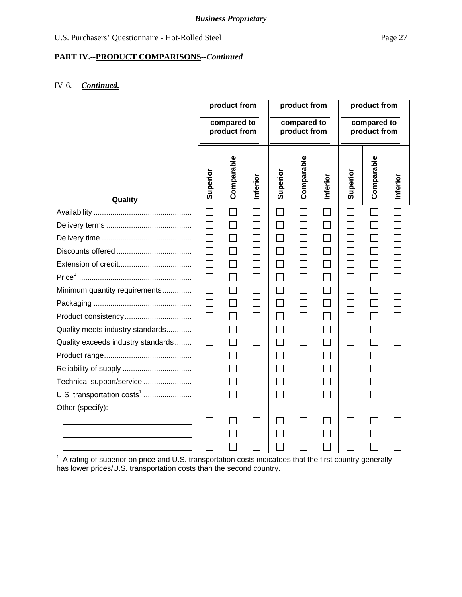# **PART IV.--PRODUCT COMPARISONS***--Continued*

# IV-6. *Continued.*

|                                        | product from             |                             | product from |          | product from                |          |          |                             |          |
|----------------------------------------|--------------------------|-----------------------------|--------------|----------|-----------------------------|----------|----------|-----------------------------|----------|
|                                        |                          | compared to<br>product from |              |          | compared to<br>product from |          |          | compared to<br>product from |          |
| Quality                                | Superior                 | Comparable                  | Inferior     | Superior | Comparable                  | Inferior | Superior | Comparable                  | Inferior |
|                                        | ┓                        |                             |              |          |                             |          |          |                             |          |
|                                        | $\overline{\phantom{a}}$ | $\sim$                      |              |          |                             |          |          |                             |          |
|                                        |                          | $\mathcal{L}_{\mathcal{A}}$ |              |          |                             |          |          |                             |          |
|                                        |                          | $\mathsf{L}$                |              | $\Box$   |                             |          |          |                             |          |
|                                        |                          | $\sim$                      |              |          |                             |          |          |                             |          |
|                                        |                          | $\mathbf{L}$                |              |          |                             |          |          |                             |          |
| Minimum quantity requirements          |                          |                             |              |          |                             |          |          |                             |          |
|                                        | $\mathsf{L}$             |                             |              | $\Box$   |                             |          |          |                             |          |
| Product consistency                    |                          |                             |              |          |                             |          |          |                             |          |
| Quality meets industry standards       |                          | $\mathcal{L}$               |              |          |                             |          |          |                             |          |
| Quality exceeds industry standards     |                          |                             |              |          |                             |          |          |                             |          |
|                                        |                          |                             |              |          |                             |          |          |                             |          |
|                                        |                          |                             |              |          |                             |          |          |                             |          |
| Technical support/service              | $\mathsf{L}$             | $\Box$                      |              |          |                             |          |          |                             |          |
| U.S. transportation costs <sup>1</sup> | П                        | $\Box$                      |              | $\Box$   |                             | $\Box$   |          |                             |          |
| Other (specify):                       |                          |                             |              |          |                             |          |          |                             |          |
|                                        |                          |                             |              |          |                             |          |          |                             |          |
|                                        |                          |                             |              |          |                             |          |          |                             |          |
|                                        |                          |                             |              |          |                             |          |          |                             |          |

 $1$  A rating of superior on price and U.S. transportation costs indicatees that the first country generally has lower prices/U.S. transportation costs than the second country.